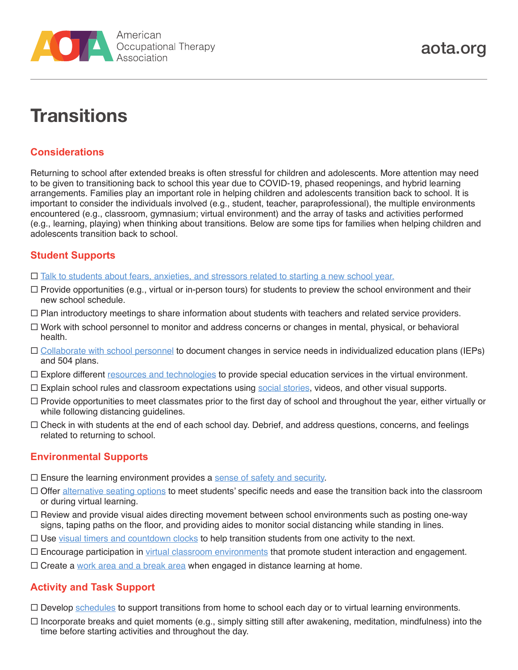

# **Transitions**

## **Considerations**

Returning to school after extended breaks is often stressful for children and adolescents. More attention may need to be given to transitioning back to school this year due to COVID-19, phased reopenings, and hybrid learning arrangements. Families play an important role in helping children and adolescents transition back to school. It is important to consider the individuals involved (e.g., student, teacher, paraprofessional), the multiple environments encountered (e.g., classroom, gymnasium; virtual environment) and the array of tasks and activities performed (e.g., learning, playing) when thinking about transitions. Below are some tips for families when helping children and adolescents transition back to school.

### **Student Supports**

- $\Box$  [Talk to students about fears, anxieties, and stressors related to starting a new school year.](https://www.aota.org/~/media/Corporate/Files/Practice/back-to-school/Mental-Health-Behavior-and-Well-being.pdf)
- $\Box$  Provide opportunities (e.g., virtual or in-person tours) for students to preview the school environment and their new school schedule.
- $\Box$  Plan introductory meetings to share information about students with teachers and related service providers.
- $\Box$  Work with school personnel to monitor and address concerns or changes in mental, physical, or behavioral health.
- [Collaborate with school personnel](https://hschealth.org/sites/default/files/partnering-with-schools-guide-english.pdf) to document changes in service needs in individualized education plans (IEPs) and 504 plans.
- $\Box$  Explore different [resources and technologies](https://www.ncsecs.org/press/new-website-offers-tips-for-teachers-about-virtual-special-education/) to provide special education services in the virtual environment.
- $\Box$  Explain school rules and classroom expectations using [social stories](https://www.easterseals.com/shared-components/document-library/back-to-school-social-story.pdf), videos, and other visual supports.
- $\Box$  Provide opportunities to meet classmates prior to the first day of school and throughout the year, either virtually or while following distancing guidelines.
- $\Box$  Check in with students at the end of each school day. Debrief, and address questions, concerns, and feelings related to returning to school.

### **Environmental Supports**

- $\square$  Ensure the learning environment provides a [sense of safety and security](https://www.aota.org/~/media/Corporate/Files/Practice/back-to-school/Mental-Health-Behavior-and-Well-being.pdf).
- $\Box$  Offer [alternative seating options](https://www.aota.org/~/media/Corporate/Files/Practice/back-to-school/Classroom-Set-up.pdf) to meet students' specific needs and ease the transition back into the classroom or during virtual learning.
- $\Box$  Review and provide visual aides directing movement between school environments such as posting one-way signs, taping paths on the floor, and providing aides to monitor social distancing while standing in lines.
- $\Box$  Use [visual timers and countdown clocks](https://www.iidc.indiana.edu/irca/articles/transition-time-helping-individuals-on-the-autism-spectrum-move-successfully-from-one-activity-to-another) to help transition students from one activity to the next.
- □ Encourage participation in [virtual classroom environments](https://www.responsiveclassroom.org/maintaining-a-positive-community-remotely/) that promote student interaction and engagement.
- $\Box$  Create a [work area and a break area](https://www.ocali.org/project/resource_gallery_of_interventions/page/home_base) when engaged in distance learning at home.

### **Activity and Task Support**

- $\Box$  Develop [schedules](https://www.pbisworld.com/tier-2/individual-visual-schedules/) to support transitions from home to school each day or to virtual learning environments.
- $\Box$  Incorporate breaks and quiet moments (e.g., simply sitting still after awakening, meditation, mindfulness) into the time before starting activities and throughout the day.